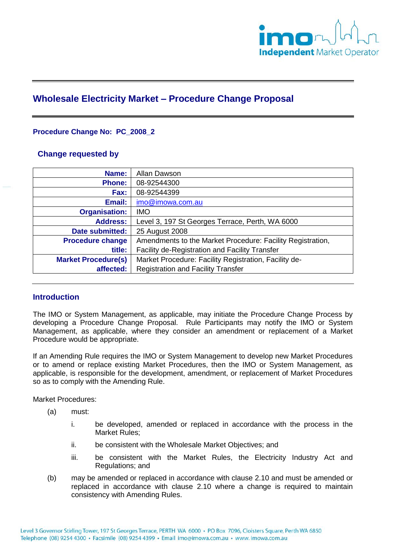

# **Wholesale Electricity Market – Procedure Change Proposal**

## **Procedure Change No: PC\_2008\_2**

## **Change requested by**

| Name:                      | Allan Dawson                                               |
|----------------------------|------------------------------------------------------------|
| <b>Phone:</b>              | 08-92544300                                                |
| Fax:                       | 08-92544399                                                |
| Email:                     | imo@imowa.com.au                                           |
| <b>Organisation:</b>       | <b>IMO</b>                                                 |
| <b>Address:</b>            | Level 3, 197 St Georges Terrace, Perth, WA 6000            |
| <b>Date submitted:</b>     | 25 August 2008                                             |
| <b>Procedure change</b>    | Amendments to the Market Procedure: Facility Registration, |
| title:                     | <b>Facility de-Registration and Facility Transfer</b>      |
| <b>Market Procedure(s)</b> | Market Procedure: Facility Registration, Facility de-      |
| affected:                  | <b>Registration and Facility Transfer</b>                  |

## **Introduction**

The IMO or System Management, as applicable, may initiate the Procedure Change Process by developing a Procedure Change Proposal. Rule Participants may notify the IMO or System Management, as applicable, where they consider an amendment or replacement of a Market Procedure would be appropriate.

If an Amending Rule requires the IMO or System Management to develop new Market Procedures or to amend or replace existing Market Procedures, then the IMO or System Management, as applicable, is responsible for the development, amendment, or replacement of Market Procedures so as to comply with the Amending Rule.

Market Procedures:

- (a) must:
	- i. be developed, amended or replaced in accordance with the process in the Market Rules;
	- ii. be consistent with the Wholesale Market Objectives; and
	- iii. be consistent with the Market Rules, the Electricity Industry Act and Regulations; and
- (b) may be amended or replaced in accordance with clause 2.10 and must be amended or replaced in accordance with clause 2.10 where a change is required to maintain consistency with Amending Rules.